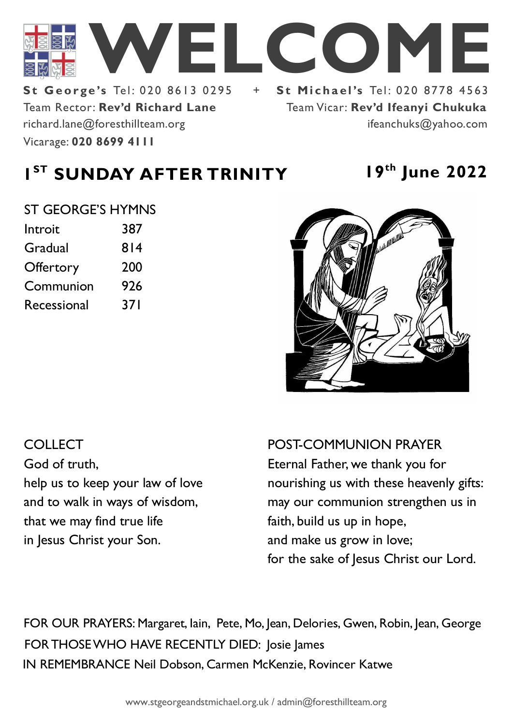

Team Rector: **Rev'd Richard Lane St George's Tel: 020 8613 0295** Vicarage: **020 8699 4111**  richard.lane@foresthillteam.org

# Team Vicar: **Rev'd Ifeanyi Chukuka** ifeanchuks@yahoo.com

# **1 ST SUNDAY AFTER TRINITY 19th June 2022**

#### ST GEORGE'S HYMNS

| Introit          | 387 |
|------------------|-----|
| Gradual          | 814 |
| <b>Offertory</b> | 200 |
| Communion        | 926 |
| Recessional      | 371 |
|                  |     |



# COLLECT God of truth, help us to keep your law of love and to walk in ways of wisdom, that we may find true life in Jesus Christ your Son.

POST-COMMUNION PRAYER Eternal Father, we thank you for nourishing us with these heavenly gifts: may our communion strengthen us in faith, build us up in hope, and make us grow in love; for the sake of Jesus Christ our Lord.

IN REMEMBRANCE Neil Dobson, Carmen McKenzie, Rovincer Katwe FOR THOSE WHO HAVE RECENTLY DIED: Josie James FOR OUR PRAYERS: Margaret, Iain, Pete, Mo, Jean, Delories, Gwen, Robin, Jean, George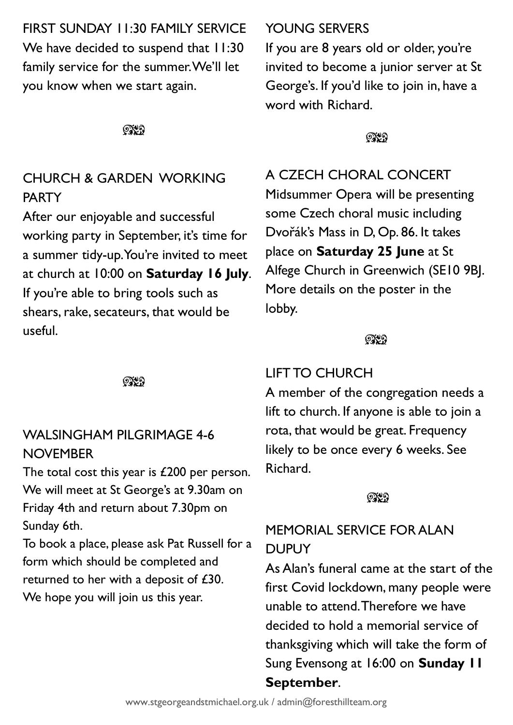FIRST SUNDAY 11:30 FAMILY SERVICE We have decided to suspend that 11:30 family service for the summer. We'll let you know when we start again.

೧೪೧

# CHURCH & GARDEN WORKING PARTY

After our enjoyable and successful working party in September, it's time for a summer tidy-up. You're invited to meet at church at 10:00 on **Saturday 16 July**. If you're able to bring tools such as shears, rake, secateurs, that would be useful.

೧೪೧

# WALSINGHAM PILGRIMAGE 4-6 **NOVEMBER**

The total cost this year is £200 per person. We will meet at St George's at 9.30am on Friday 4th and return about 7.30pm on Sunday 6th.

To book a place, please ask Pat Russell for a form which should be completed and returned to her with a deposit of £30. We hope you will join us this year.

## YOUNG SERVERS

If you are 8 years old or older, you're invited to become a junior server at St George's. If you'd like to join in, have a word with Richard.

**OXO** 

A CZECH CHORAL CONCERT

Midsummer Opera will be presenting some Czech choral music including Dvořák's Mass in D, Op. 86. It takes place on **Saturday 25 June** at St Alfege Church in Greenwich (SE10 9BJ. More details on the poster in the lobby.

### ೧೪೧

# LIFT TO CHURCH

A member of the congregation needs a lift to church. If anyone is able to join a rota, that would be great. Frequency likely to be once every 6 weeks. See Richard.

#### $Q\chi$

# MEMORIAL SERVICE FOR ALAN **DUPUY**

As Alan's funeral came at the start of the first Covid lockdown, many people were unable to attend. Therefore we have decided to hold a memorial service of thanksgiving which will take the form of Sung Evensong at 16:00 on **Sunday 11 September**.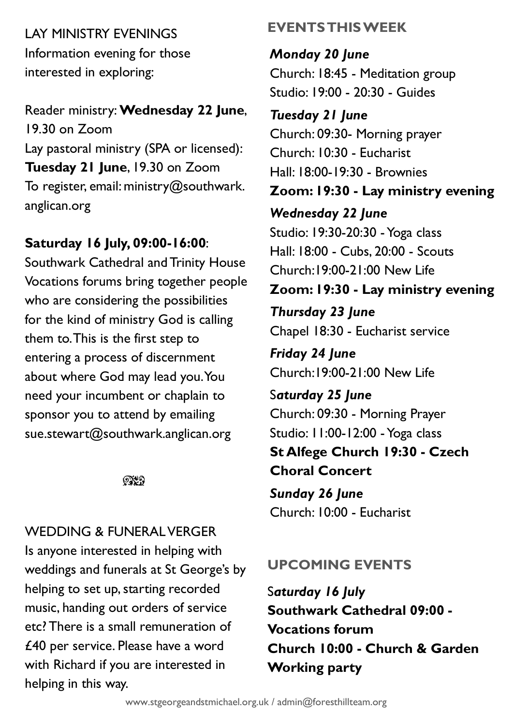LAY MINISTRY EVENINGS Information evening for those interested in exploring:

Reader ministry: **Wednesday 22 June**, 19.30 on Zoom Lay pastoral ministry (SPA or licensed): **Tuesday 21 June**, 19.30 on Zoom To register, email: ministry@southwark. anglican.org

## **Saturday 16 July, 09:00-16:00**:

Southwark Cathedral and Trinity House Vocations forums bring together people who are considering the possibilities for the kind of ministry God is calling them to. This is the first step to entering a process of discernment about where God may lead you. You need your incumbent or chaplain to sponsor you to attend by emailing sue.stewart@southwark.anglican.org

 $QX$ 

# WEDDING & FUNERAL VERGER

Is anyone interested in helping with weddings and funerals at St George's by helping to set up, starting recorded music, handing out orders of service etc? There is a small remuneration of £40 per service. Please have a word with Richard if you are interested in helping in this way.

# **EVENTS THIS WEEK**

*Monday 20 June* Church: 18:45 - Meditation group Studio: 19:00 - 20:30 - Guides

*Tuesday 21 June* Church: 09:30- Morning prayer Church: 10:30 - Eucharist Hall: 18:00-19:30 - Brownies **Zoom: 19:30 - Lay ministry evening** *Wednesday 22 June* Studio: 19:30-20:30 -Yoga class Hall: 18:00 - Cubs, 20:00 - Scouts Church:19:00-21:00 New Life **Zoom: 19:30 - Lay ministry evening** *Thursday 23 June* Chapel 18:30 - Eucharist service *Friday 24 June* Church:19:00-21:00 New Life S*aturday 25 June*

Church: 09:30 - Morning Prayer Studio: 11:00-12:00 - Yoga class **St Alfege Church 19:30 - Czech Choral Concert**

*Sunday 26 June* Church: 10:00 - Eucharist

# **UPCOMING EVENTS**

S*aturday 16 July* **Southwark Cathedral 09:00 - Vocations forum Church 10:00 - Church & Garden Working party**